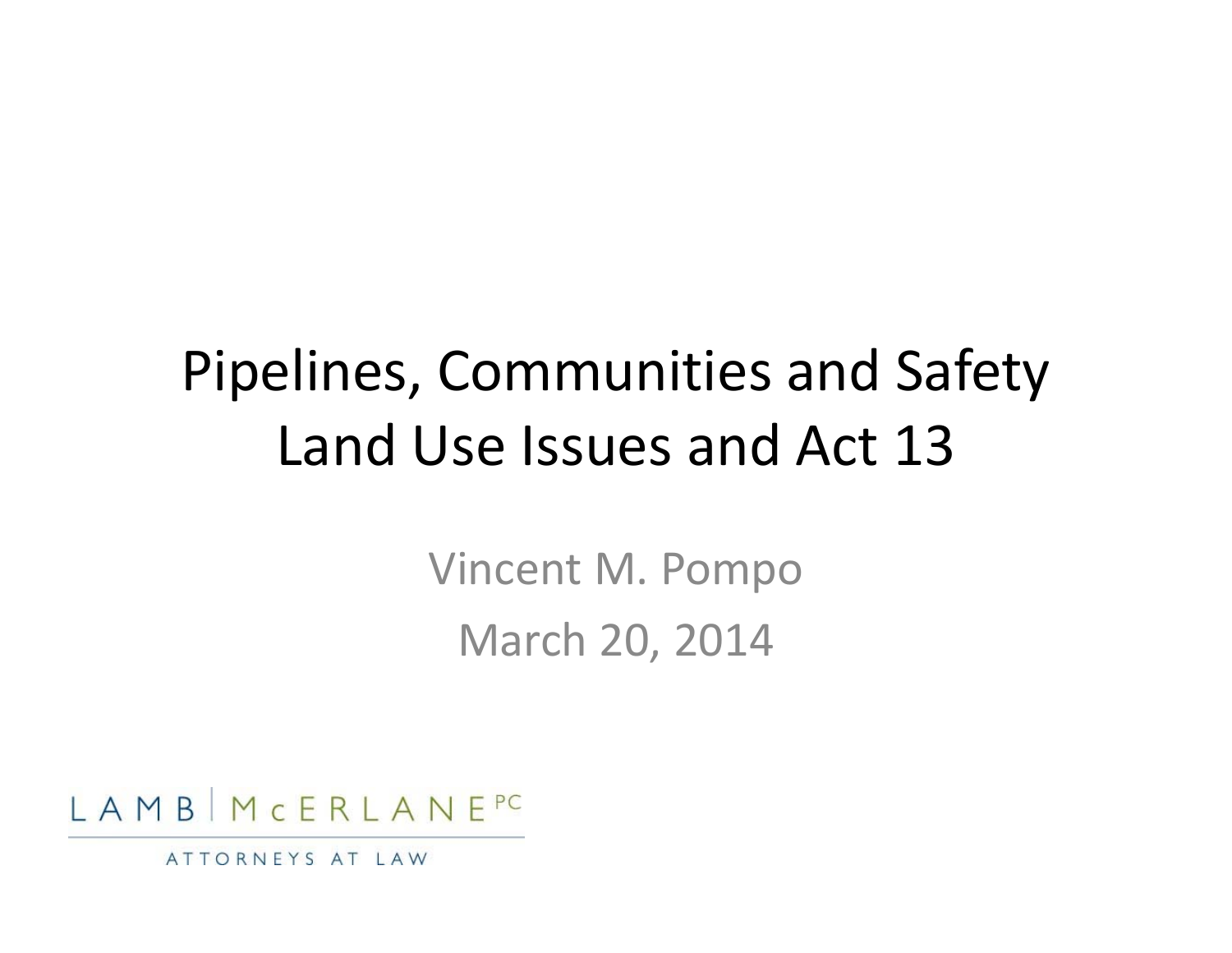#### Pipelines, Communities and Safety Land Use Issues and Act 13

Vincent M. Pompo March 20, 2014



ATTORNEYS AT LAW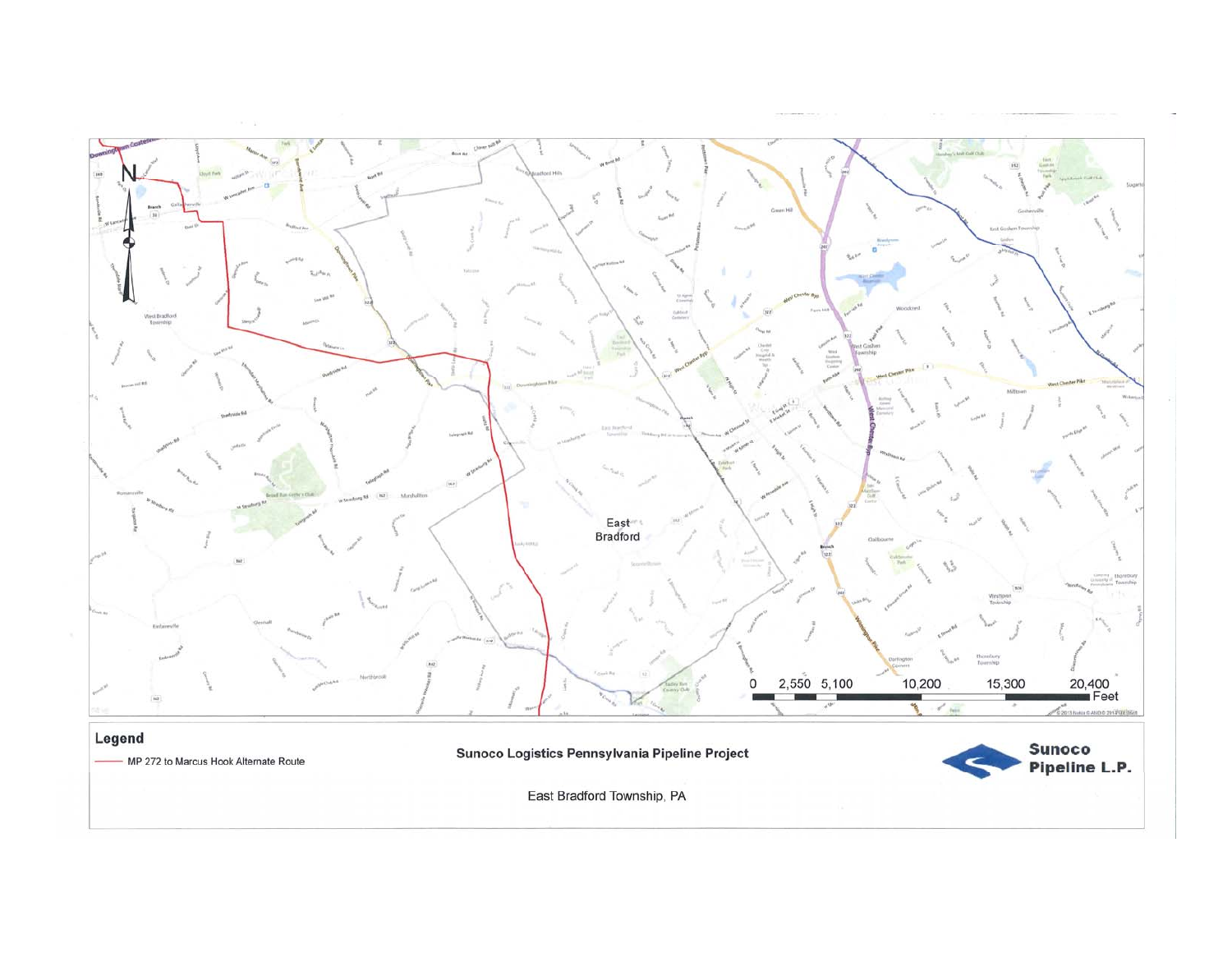

East Bradford Township, PA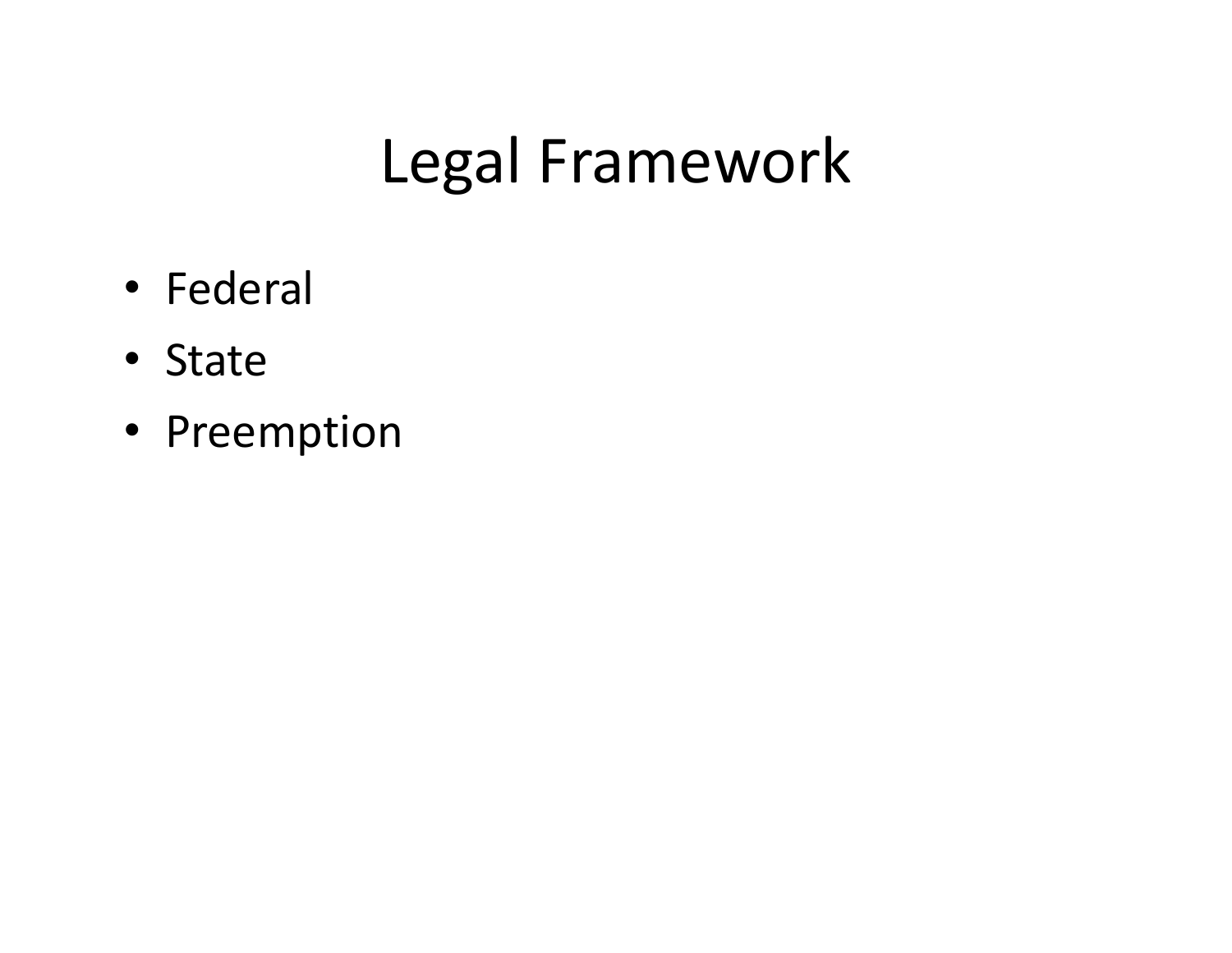# Legal Framework

- Federal
- State
- Preemption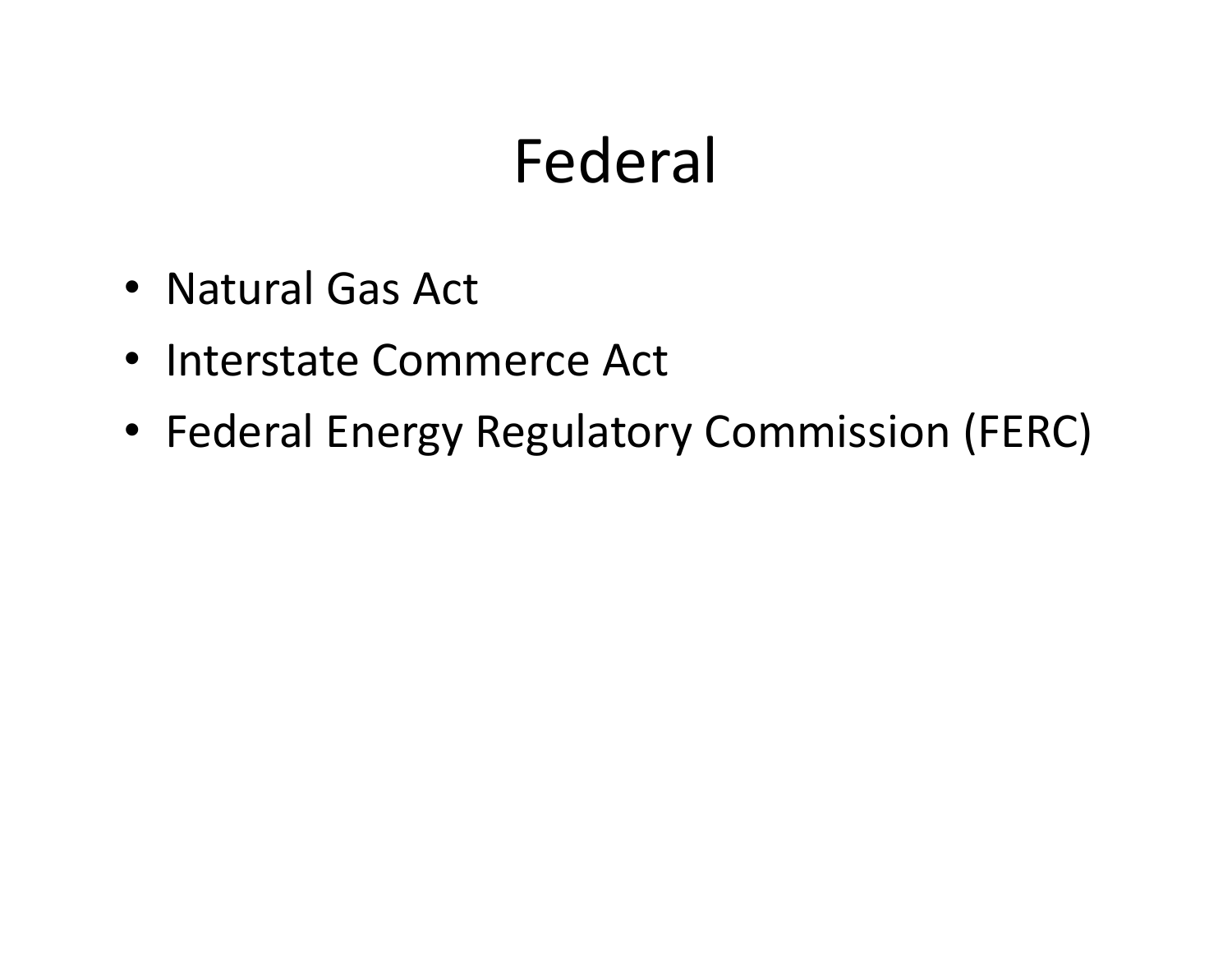# Federal

- Natural Gas Act
- Interstate Commerce Act
- Federal Energy Regulatory Commission (FERC)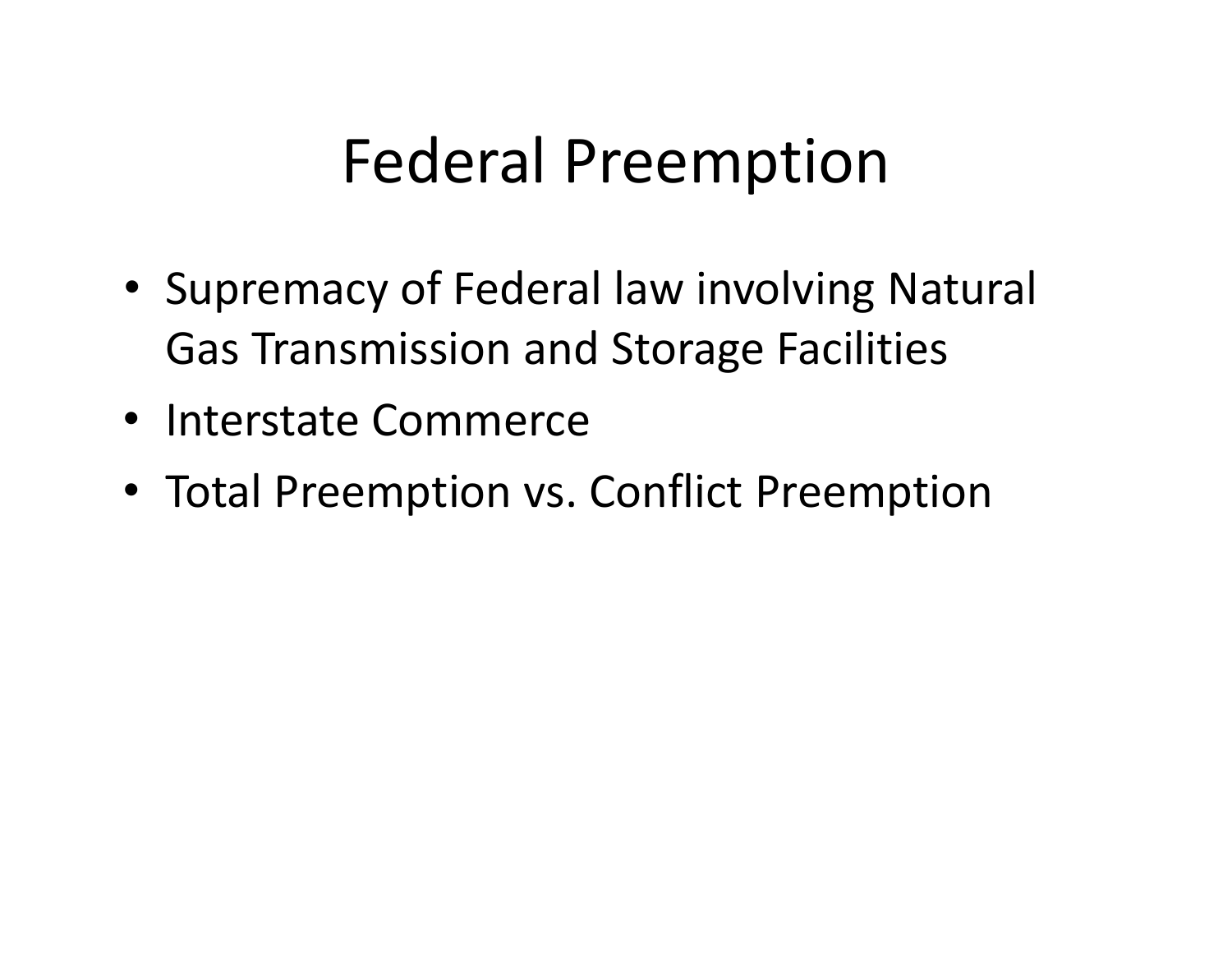## Federal Preemption

- Supremacy of Federal law involving Natural Gas Transmission and Storage Facilities
- Interstate Commerce
- Total Preemption vs. Conflict Preemption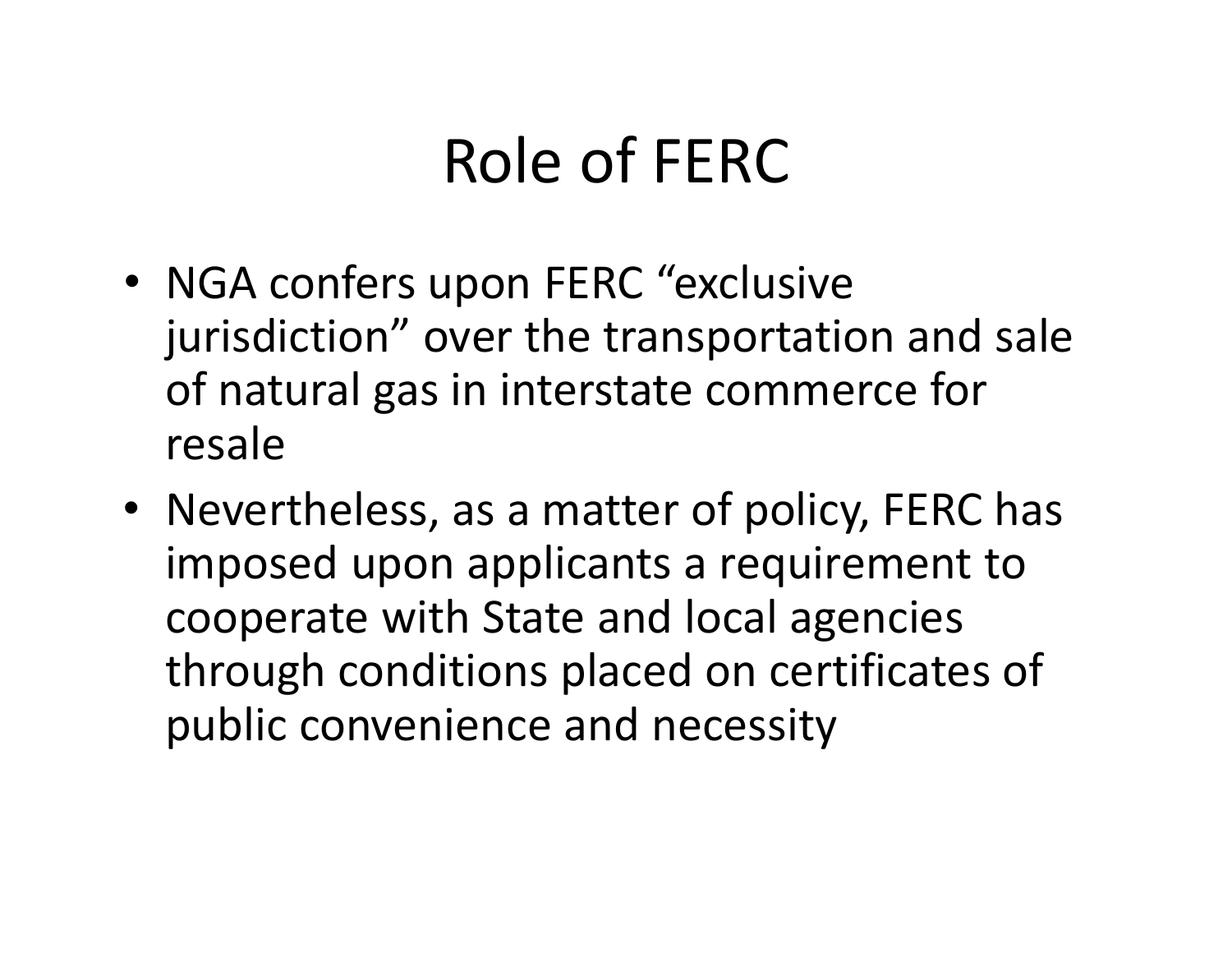# Role of FERC

- NGA confers upon FERC "exclusive jurisdiction" over the transportation and sale of natural gas in interstate commerce for resale
- Nevertheless, as <sup>a</sup> matter of policy, FERC has imposed upon applicants <sup>a</sup> requirement to cooperate with State and local agencies through conditions placed on certificates of public convenience and necessity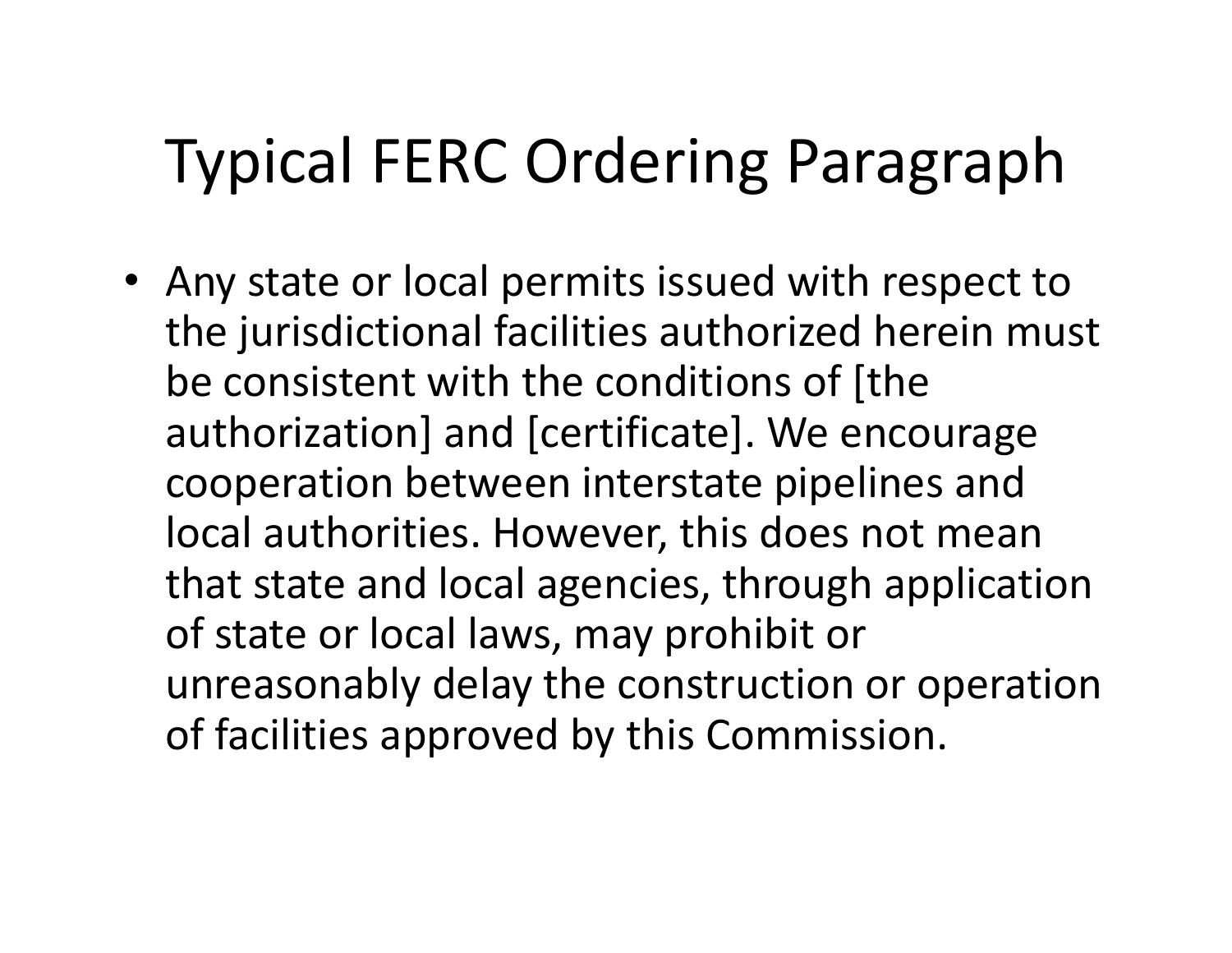# Typical FERC Ordering Paragraph

• Any state or local permits issued with respect to the jurisdictional facilities authorized herein must be consistent with the conditions of [the authorization] and [certificate]. We encourage cooperation between interstate pipelines and local authorities. However, this does not mean that state and local agencies, through application of state or local laws, may prohibit or unreasonably delay the construction or operation of facilities approved by this Commission.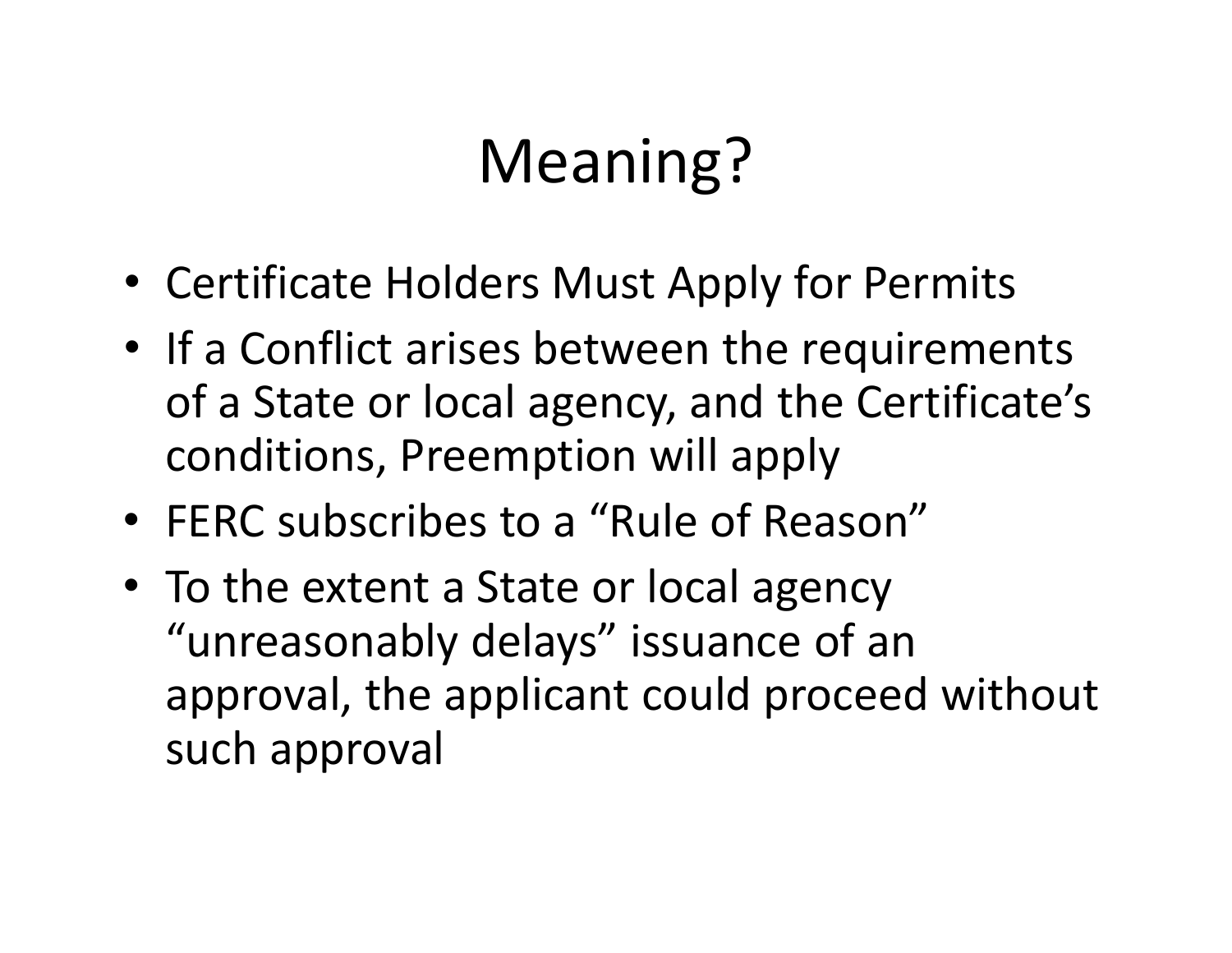# Meaning?

- Certificate Holders Must Apply for Permits
- If <sup>a</sup> Conflict arises between the requirements of a State or local agency, and the Certificate's conditions, Preemption will apply
- FERC subscribes to <sup>a</sup> "Rule of Reason"
- To the extent <sup>a</sup> State or local agency "unreasonably delays" issuance of an approval, the applicant could proceed without such approval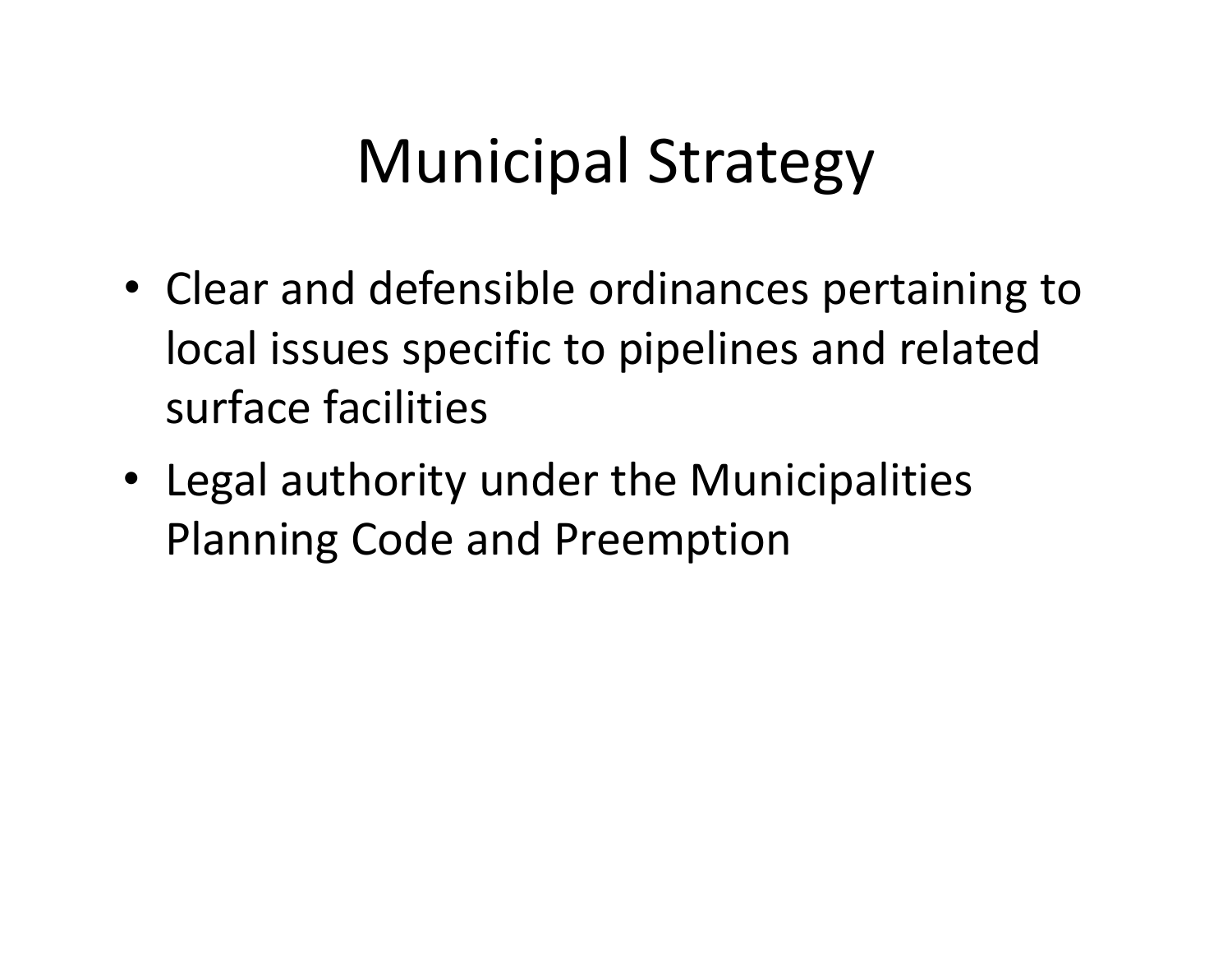# Municipal Strategy

- Clear and defensible ordinances pertaining to local issues specific to pipelines and related surface facilities
- Legal authority under the Municipalities Planning Code and Preemption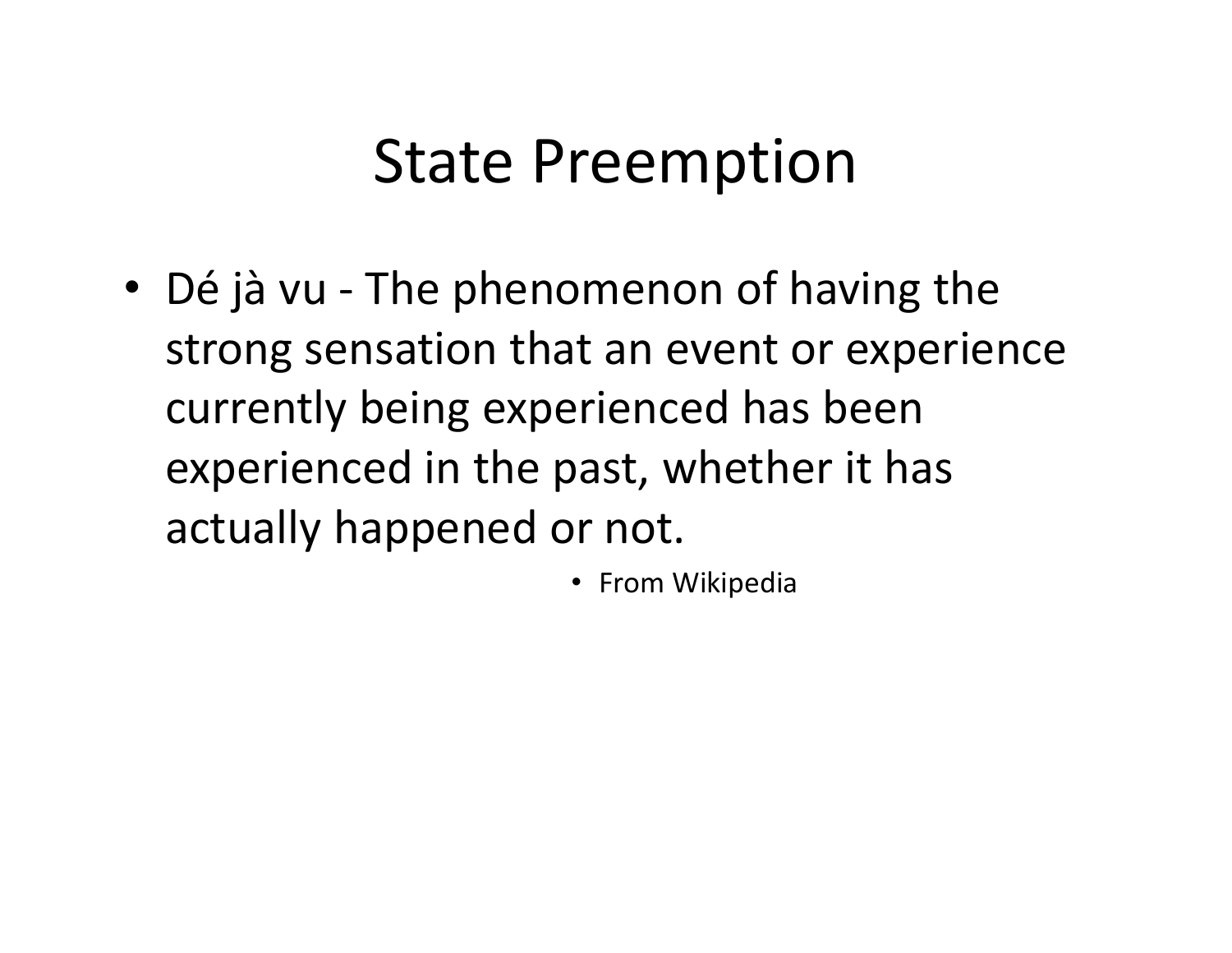## State Preemption

- Dé jà vu ‐ The phenomenon of having the strong sensation that an event or experience currently being experienced has been experienced in the past, whether it has actually happened or not.
	- From Wikipedia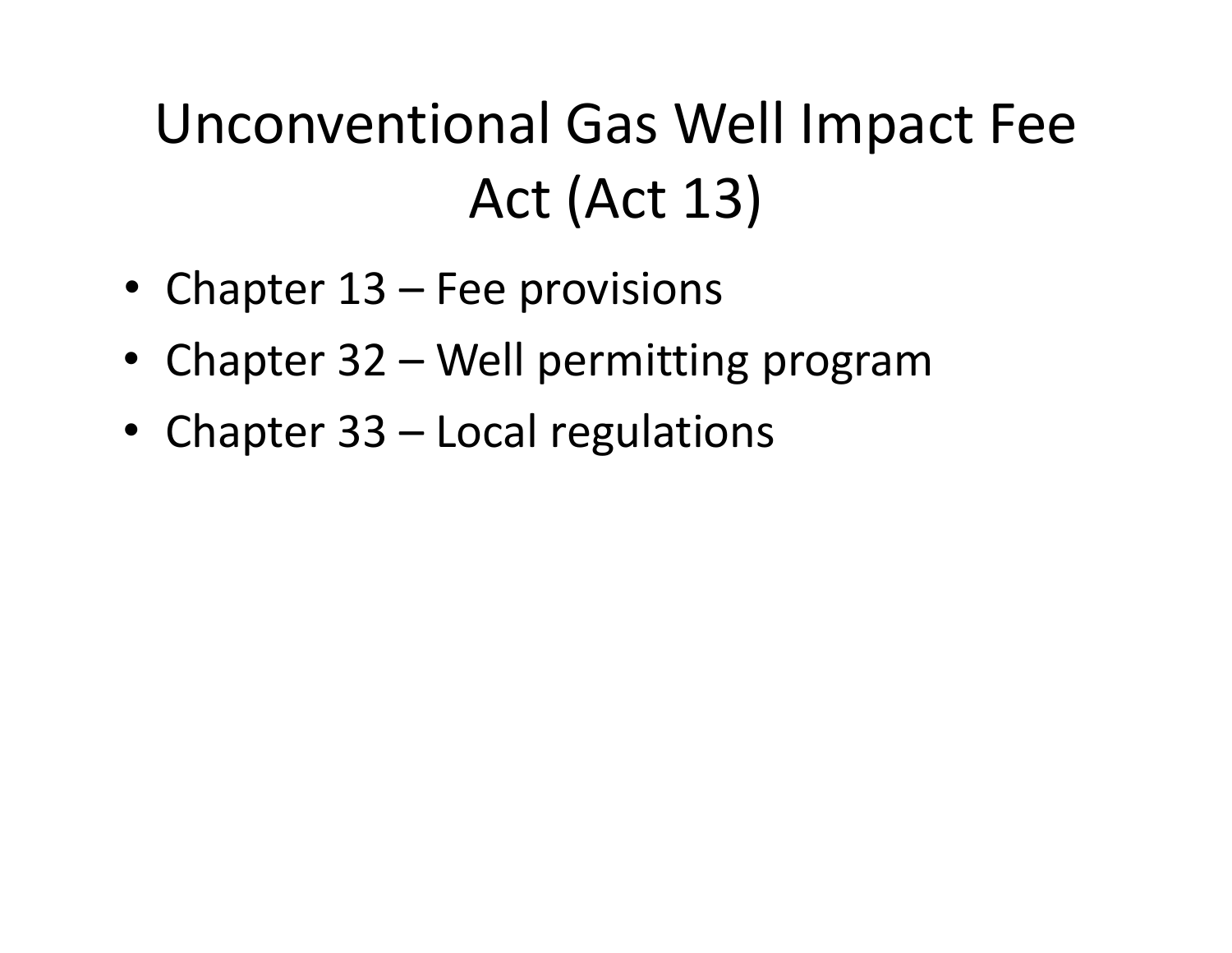## Unconventional Gas Well Impact Fee Act (Act 13)

- Chapter 13 Fee provisions
- Chapter 32 Well permitting program
- Chapter 33 Local regulations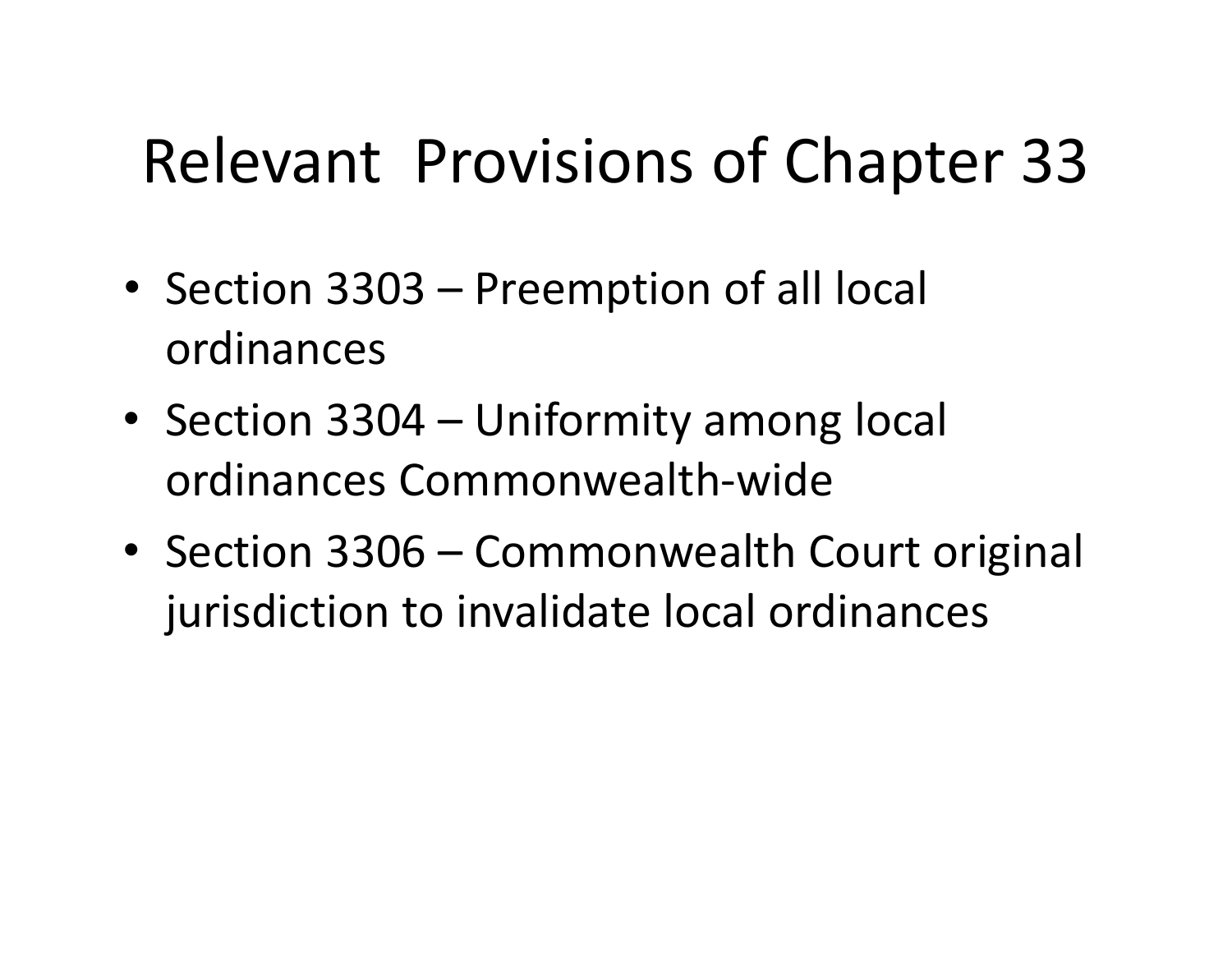# Relevant Provisions of Chapter 33

- Section 3303 Preemption of all local ordinances
- Section 3304 Uniformity among local ordinances Commonwealth‐wide
- Section 3306 Commonwealth Court original jurisdiction to invalidate local ordinances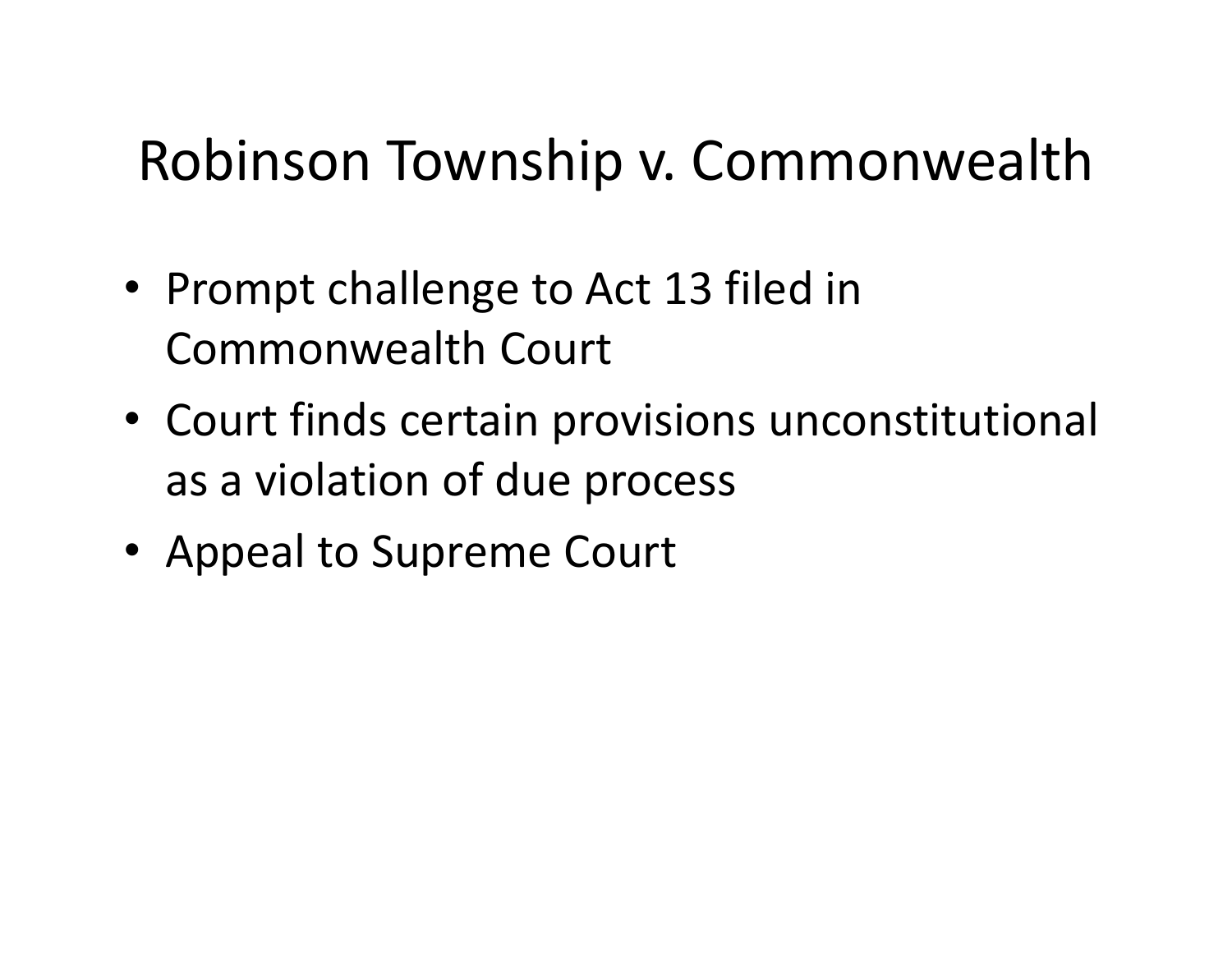### Robinson Township v. Commonwealth

- Prompt challenge to Act 13 filed in Commonwealth Court
- Court finds certain provisions unconstitutional as a violation of due process
- Appeal to Supreme Court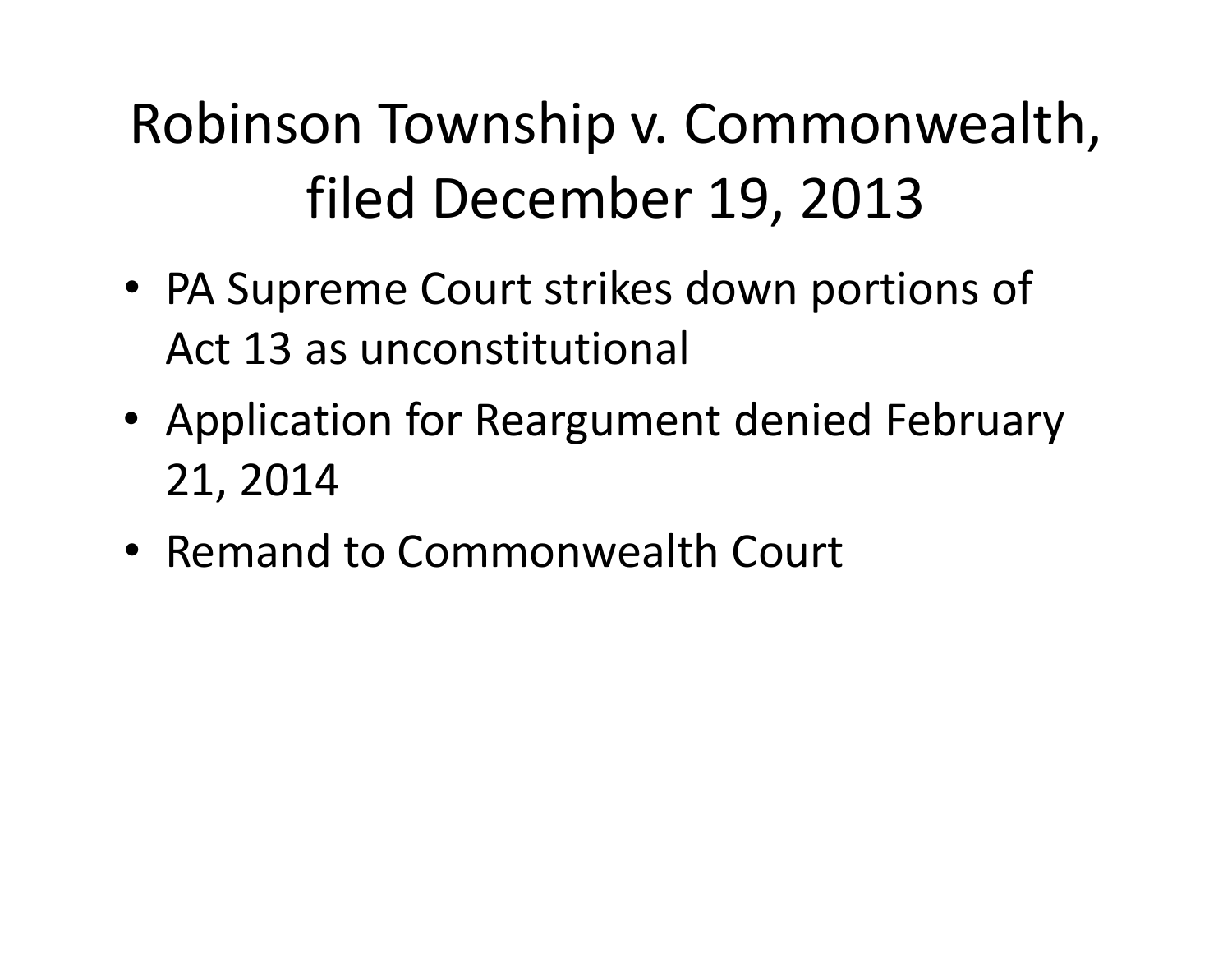# Robinson Township v. Commonwealth, filed December 19, 2013

- PA Supreme Court strikes down portions of Act 13 as unconstitutional
- Application for Reargument denied February 21, 2014
- Remand to Commonwealth Court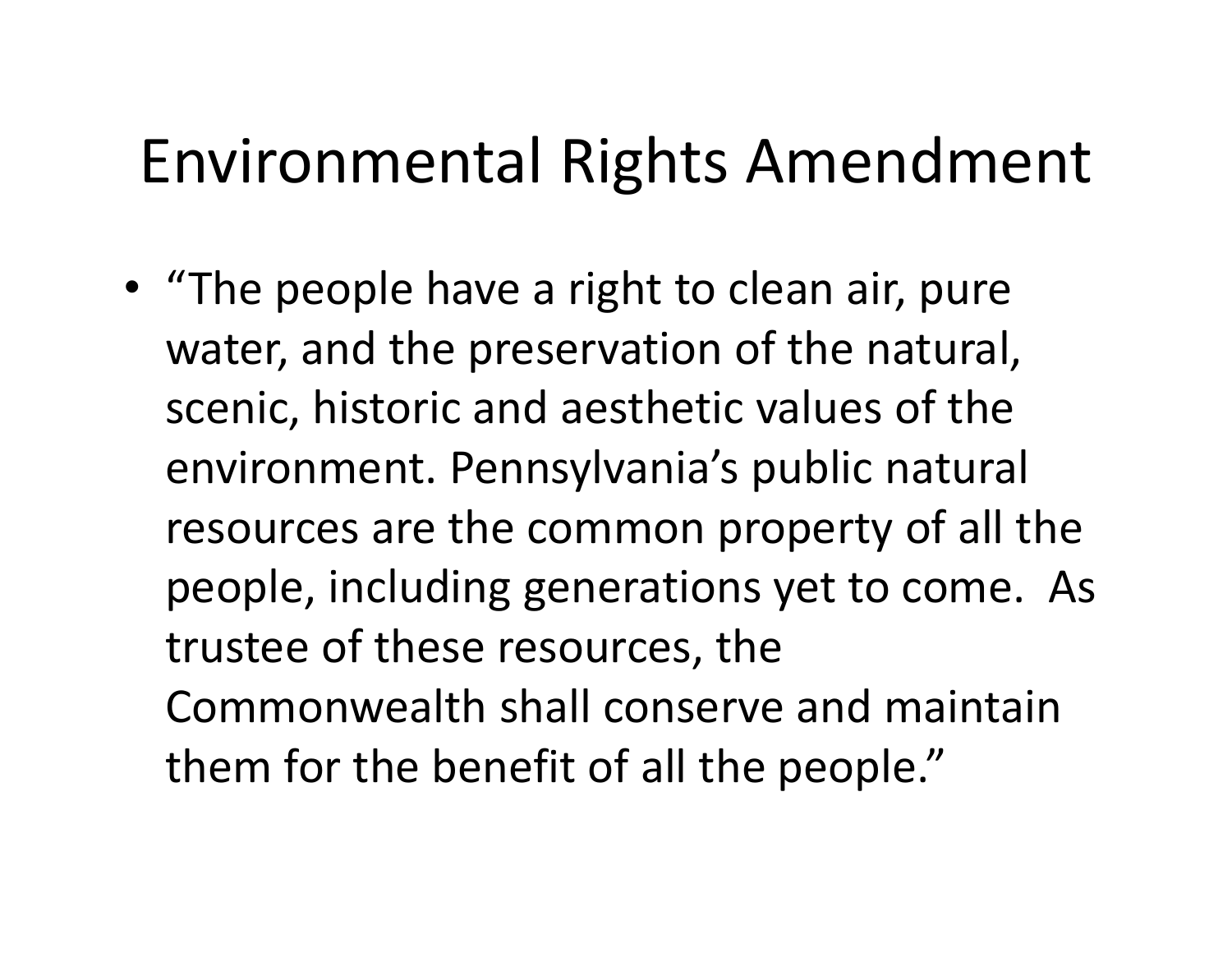## Environmental Rights Amendment

• "The people have <sup>a</sup> right to clean air, pure water, and the preservation of the natural, scenic, historic and aesthetic values of the environment. Pennsylvania's public natural resources are the common property of all the people, including generations yet to come. As trustee of these resources, the Commonwealth shall conserve and maintain them for the benefit of all the people."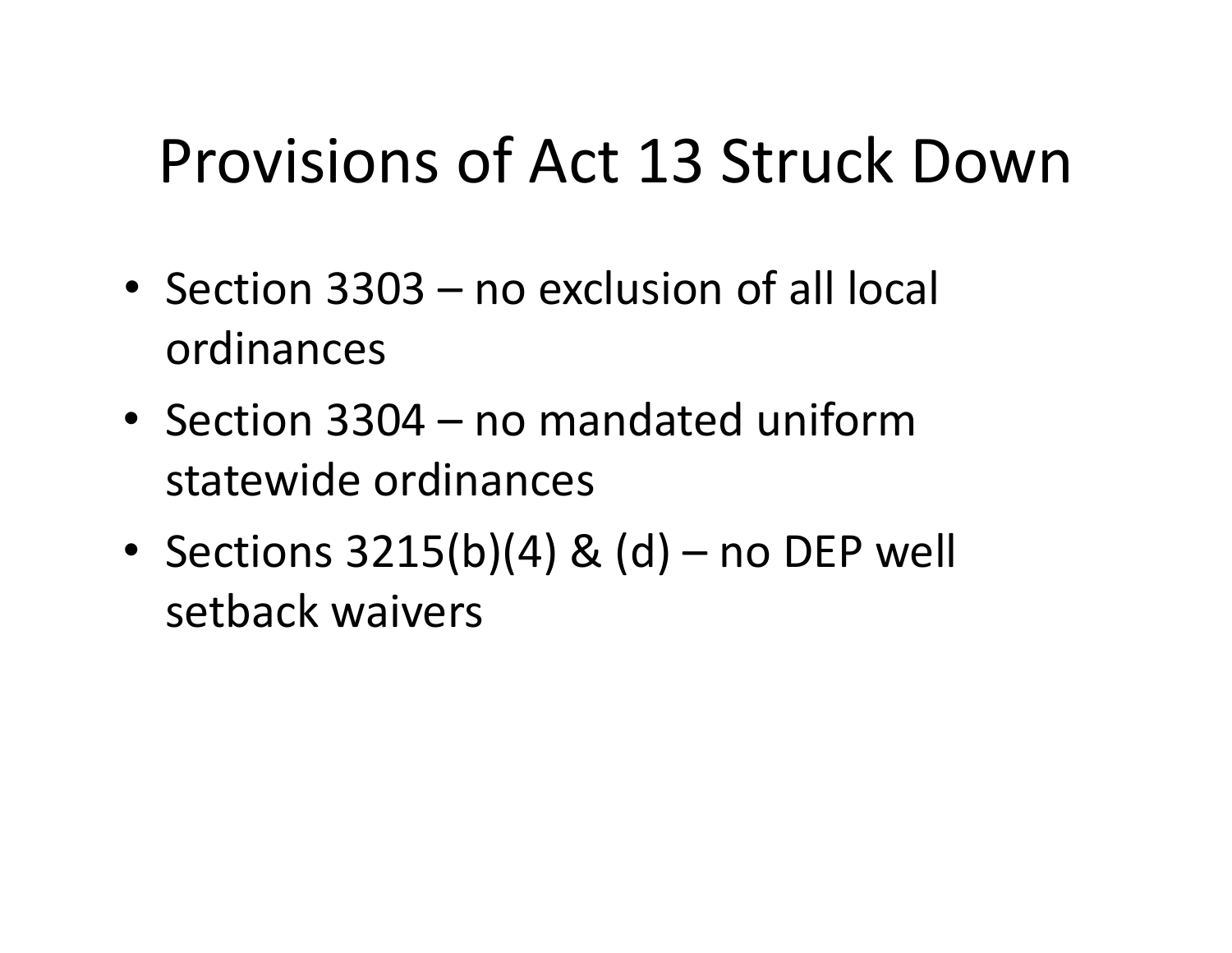# Provisions of Act 13 Struck Down

- Section 3303 no exclusion of all local ordinances
- Section 3304 no mandated uniformstatewide ordinances
- Sections 3215(b)(4) & (d) no DEP well setback waivers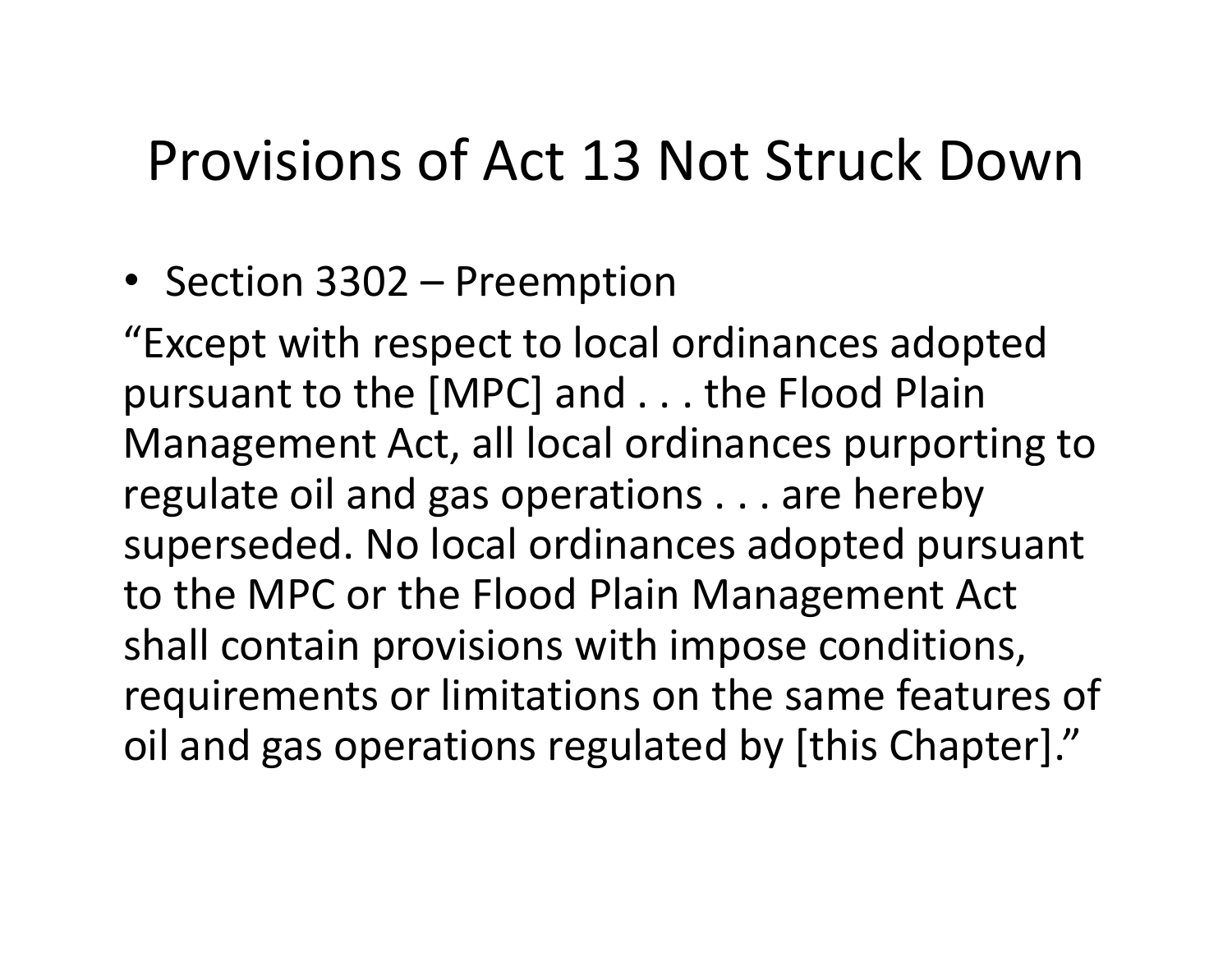#### Provisions of Act 13 Not Struck Down

• Section 3302 – Preemption

"Except with respect to local ordinances adopted pursuant to the [MPC] and . . . the Flood Plain Management Act, all local ordinances purporting to regulate oil and gas operations . . . are hereby superseded. No local ordinances adopted pursuant to the MPC or the Flood Plain Management Act shall contain provisions with impose conditions, requirements or limitations on the same features of oil and gas operations regulated by [this Chapter]."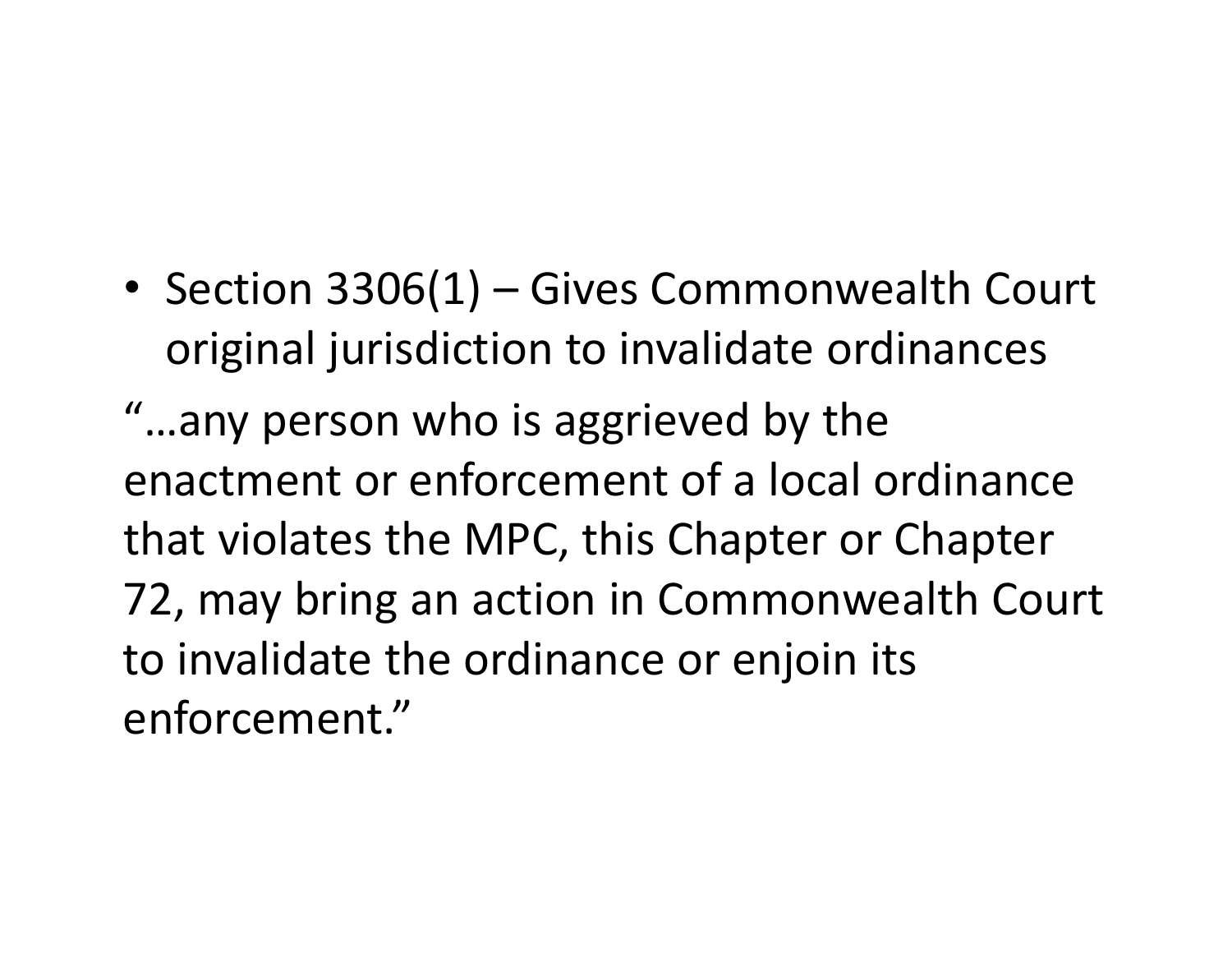• Section 3306(1) – Gives Commonwealth Court original jurisdiction to invalidate ordinances

"…any person who is aggrieved by the enactment or enforcement of <sup>a</sup> local ordinancethat violates the MPC, this Chapter or Chapter 72, may bring an action in Commonwealth Court to invalidate the ordinance or enjoin its enforcement."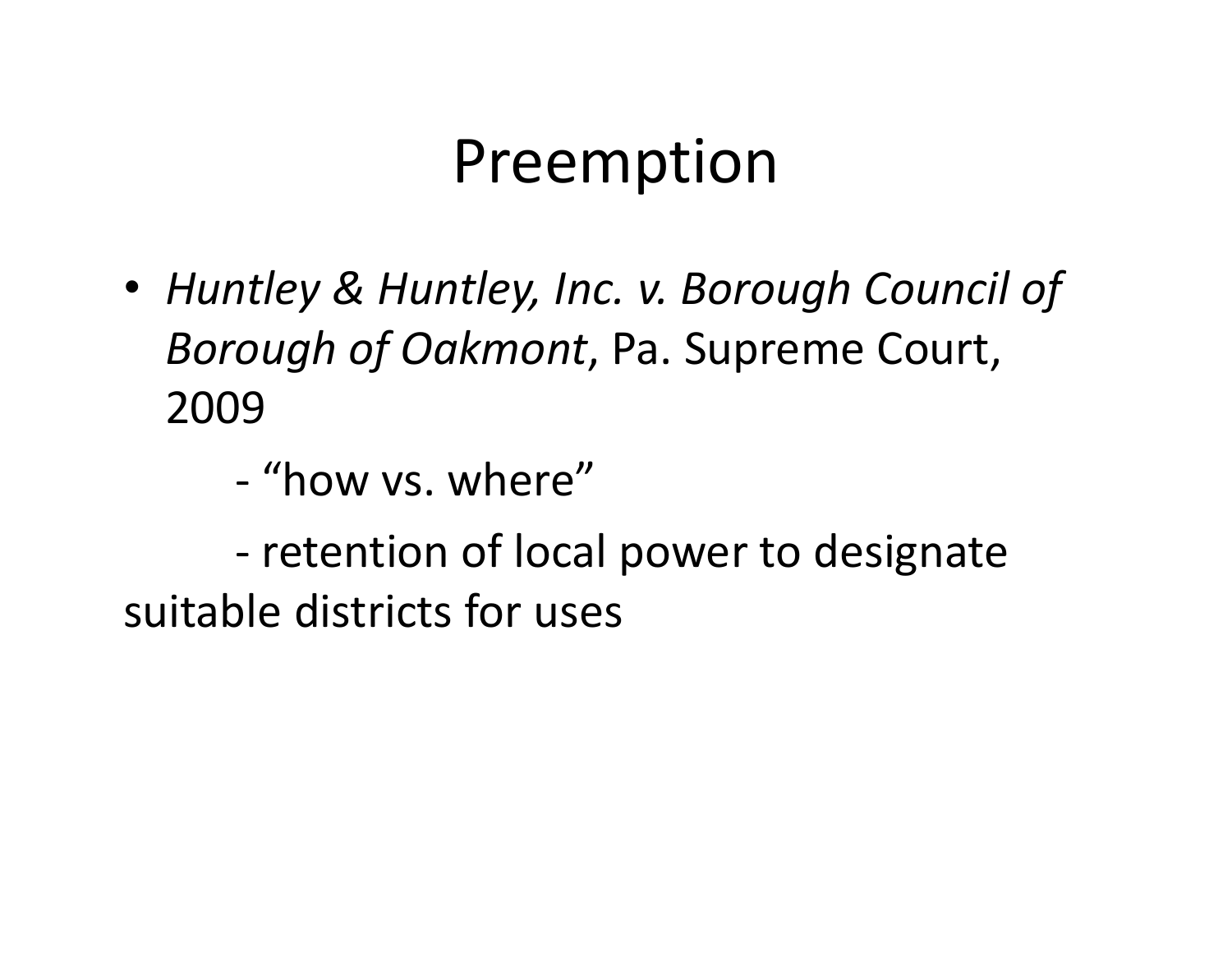## Preemption

- *Huntley & Huntley, Inc. v. Borough Council of Borough of Oakmont*, Pa. Supreme Court, 2009
	- ‐ "how vs. where"

‐ retention of local power to designate suitable districts for uses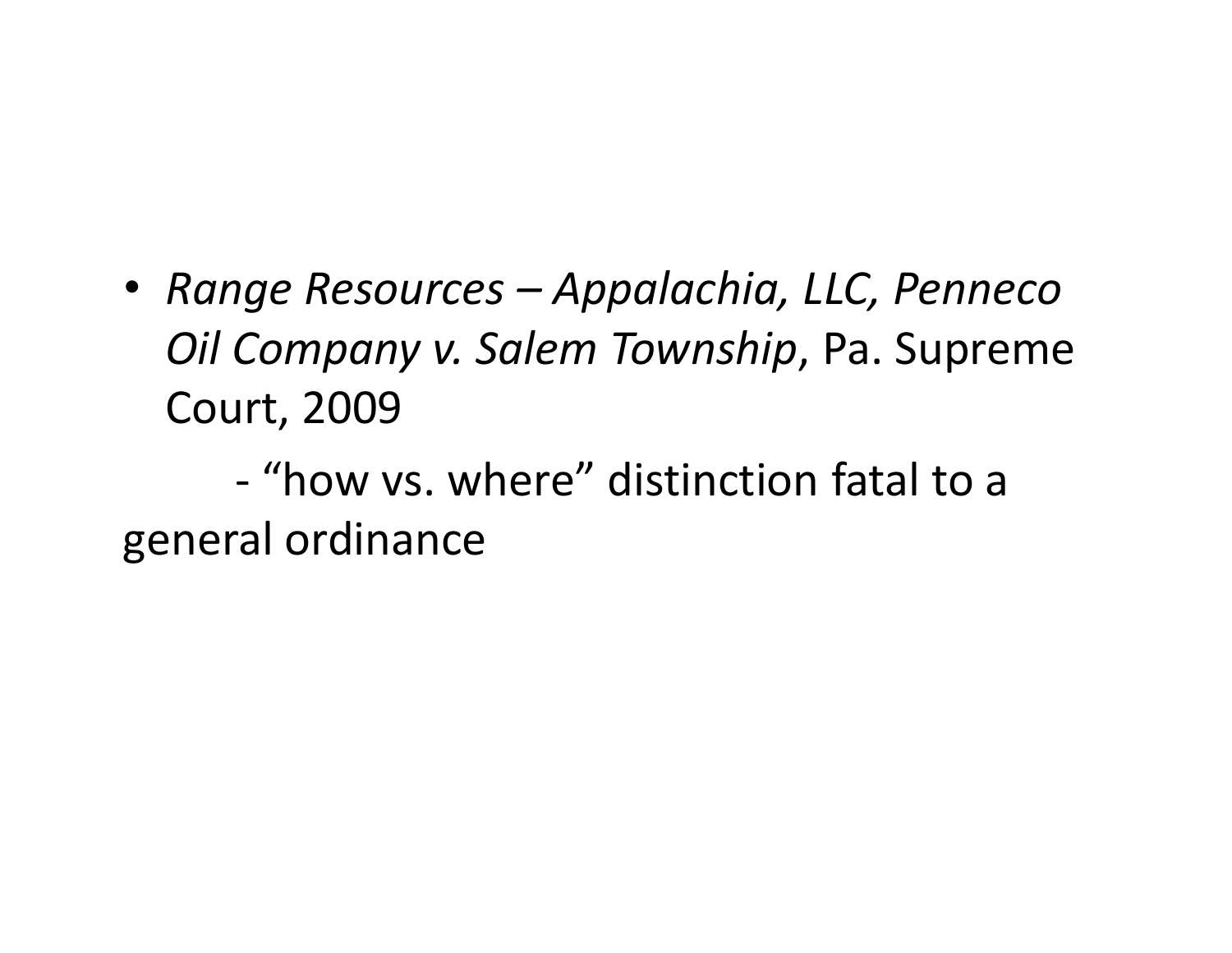• *Range Resources – Appalachia, LLC, Penneco Oil Company v. Salem Township*, Pa. Supreme Court, 2009

‐ "how vs. where" distinction fatal to <sup>a</sup> general ordinance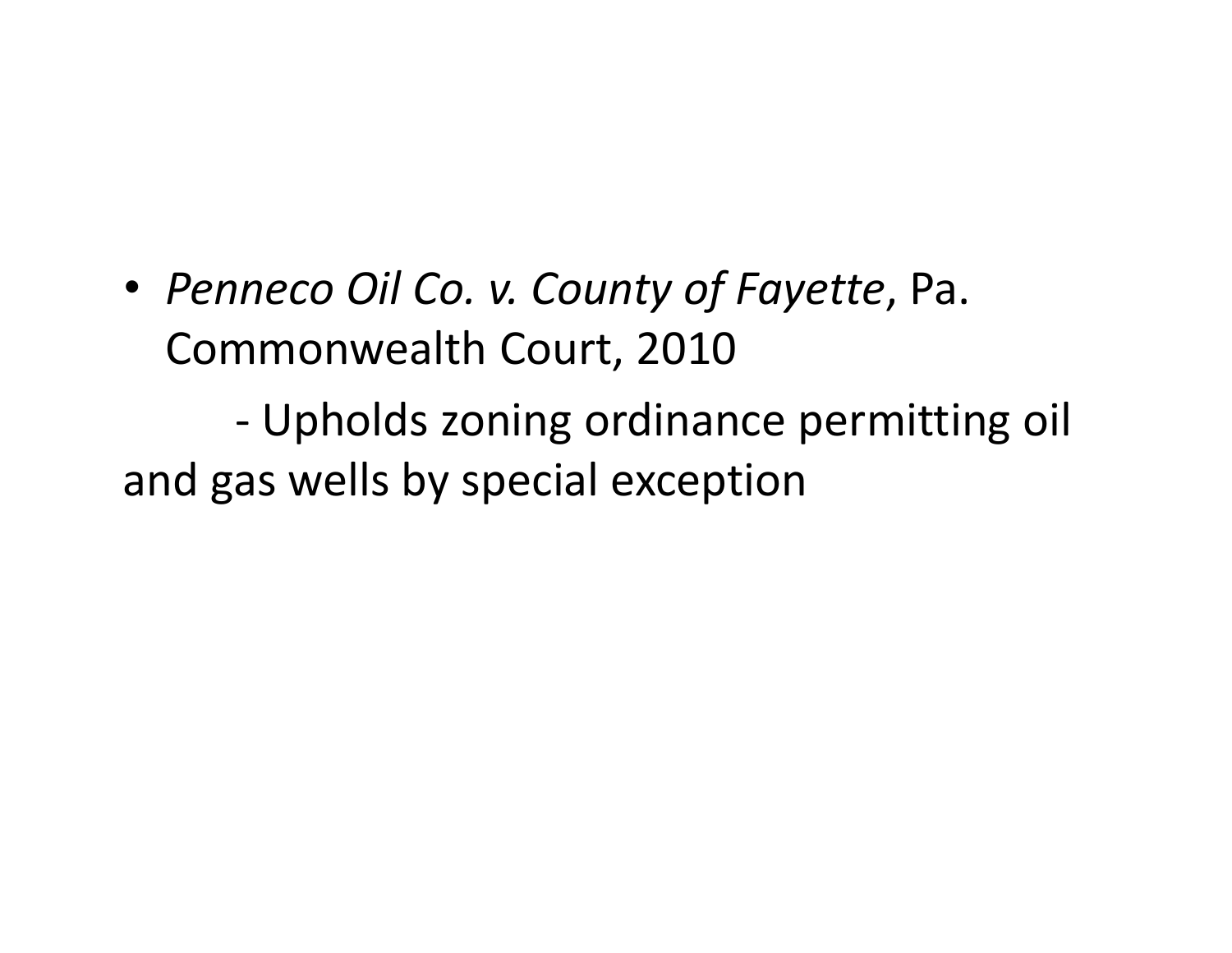• *Penneco Oil Co. v. County of Fayette*, Pa. Commonwealth Court, 2010

‐ Upholds zoning ordinance permitting oil and gas wells by special exception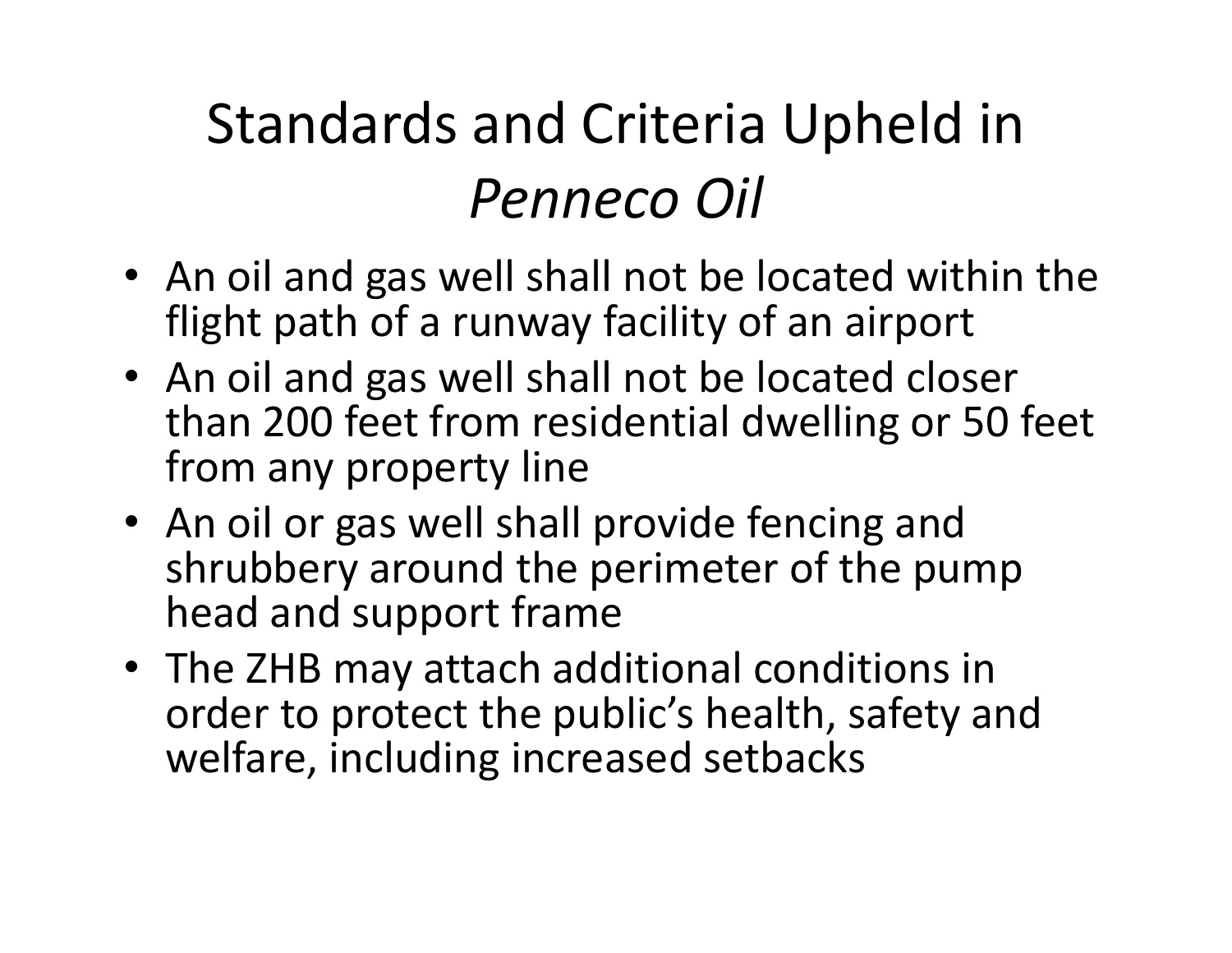# Standards and Criteria Upheld in *Penneco Oil*

- An oil and gas well shall not be located within the flight path of <sup>a</sup> runway facility of an airport
- An oil and gas well shall not be located closer than 200 feet from residential dwelling or 50 feet from any property line
- An oil or gas well shall provide fencing and shrubbery around the perimeter of the pump head and support frame
- The ZHB may attach additional conditions in order to protect the public's health, safety and welfare, including increased setbacks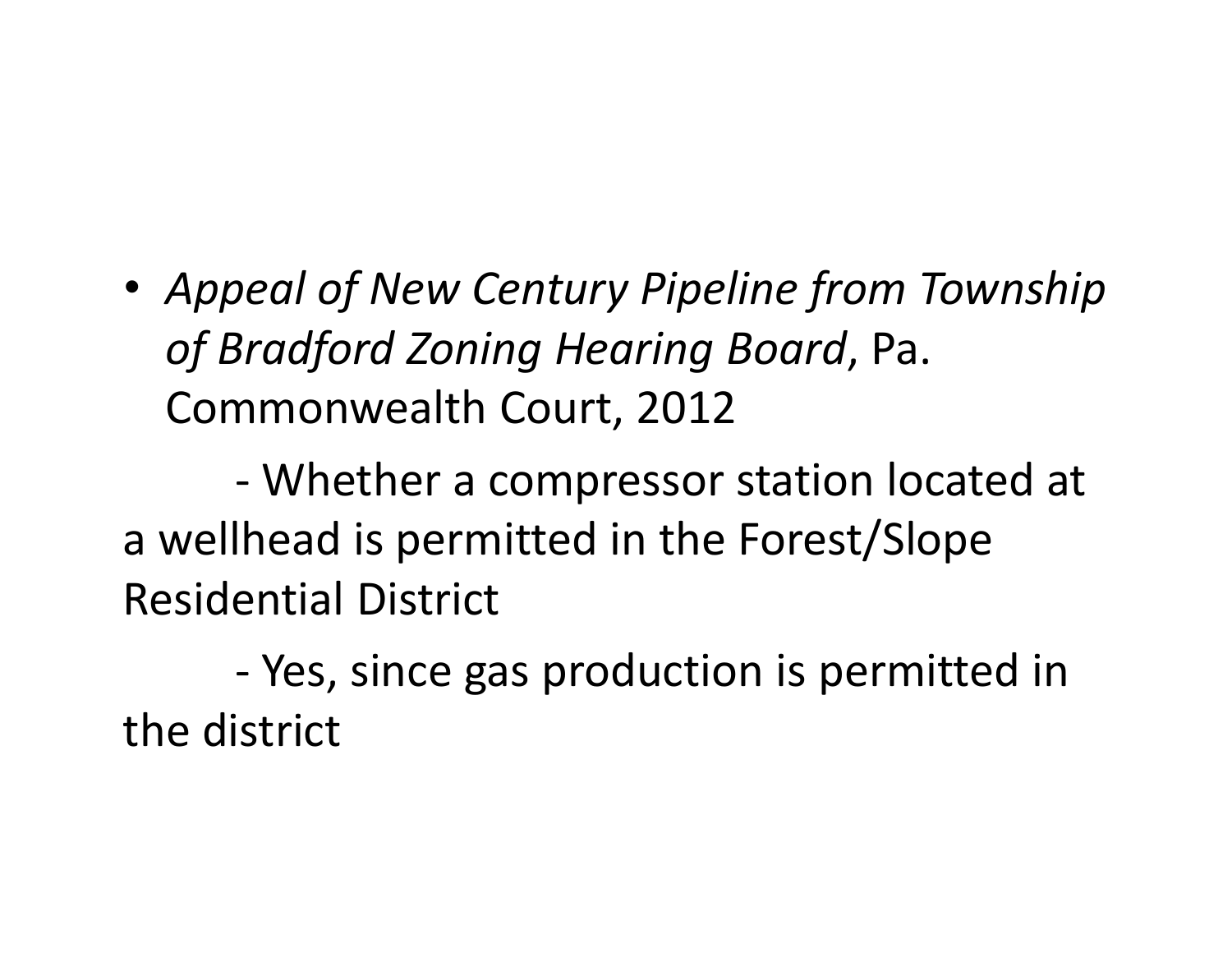• *Appeal of New Century Pipeline from Township of Bradford Zoning Hearing Board*, Pa. Commonwealth Court, 2012

‐ Whether a compressor station located at a wellhead is permitted in the Forest/Slope Residential District

‐ Yes, since gas production is permitted in the district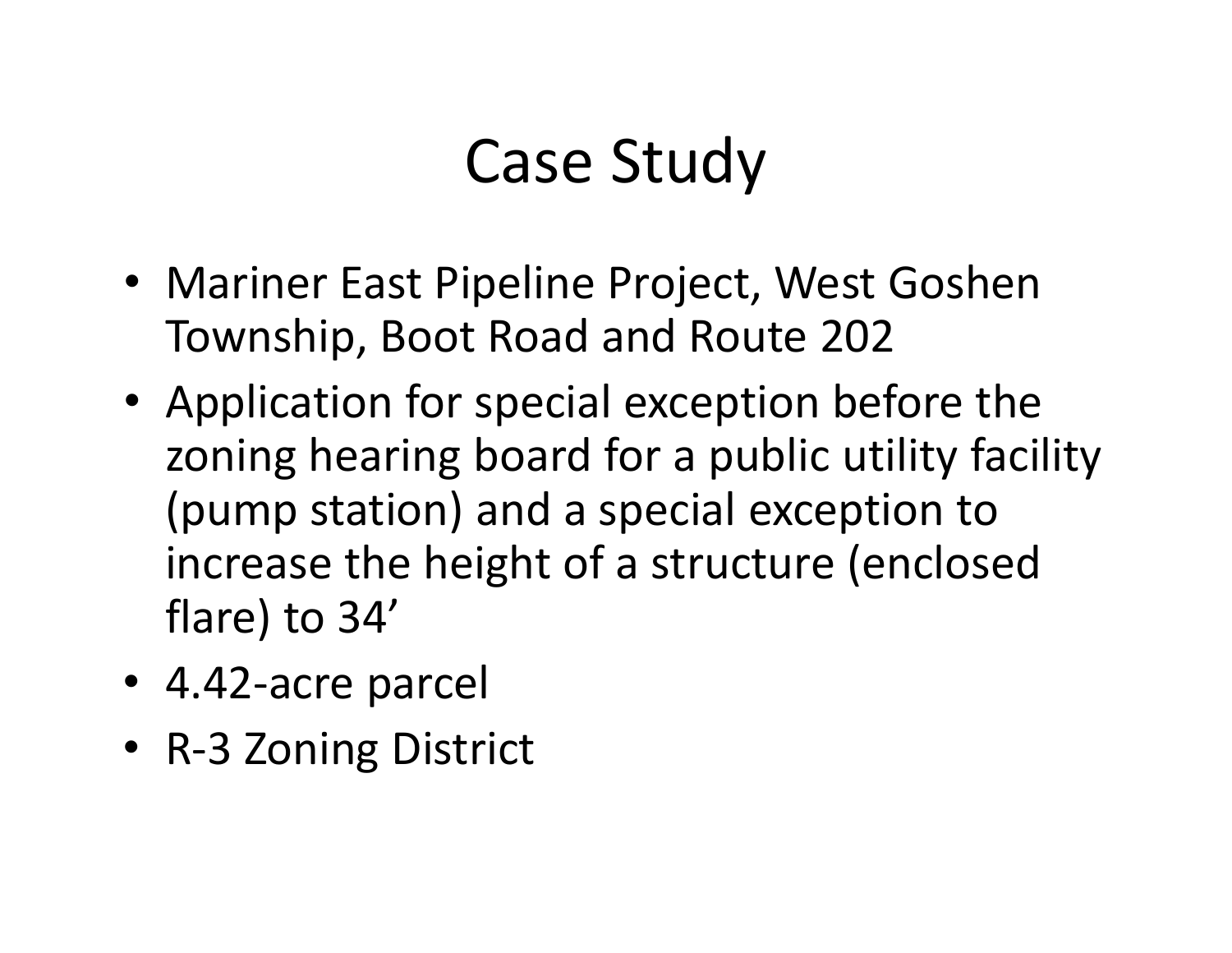# Case Study

- Mariner East Pipeline Project, West Goshen Township, Boot Road and Route 202
- Application for special exception before the zoning hearing board for <sup>a</sup> public utility facility (pump station) and <sup>a</sup> special exception to increase the height of <sup>a</sup> structure (enclosed flare) to 34'
- 4.42‐acre parcel
- R‐3 Zoning District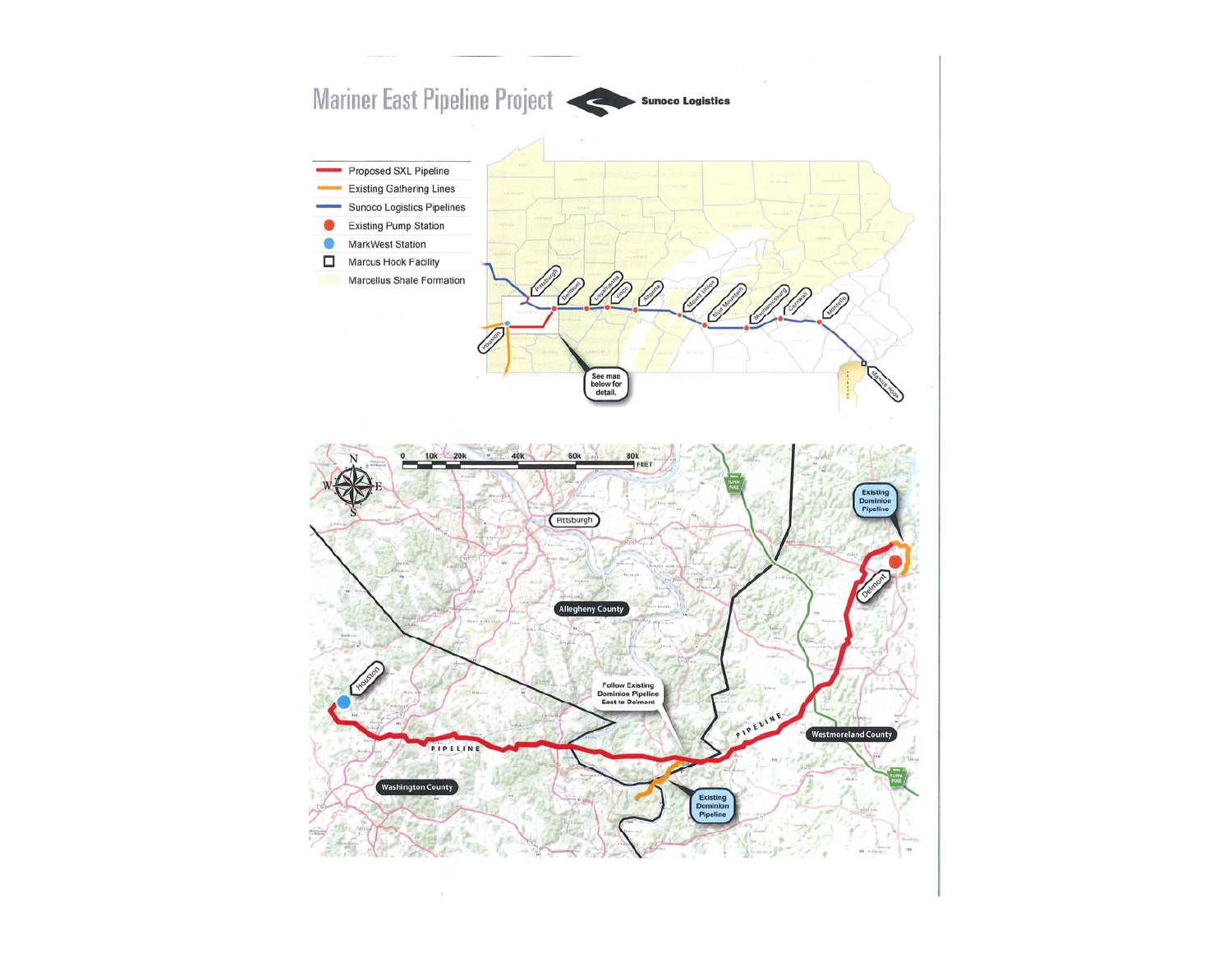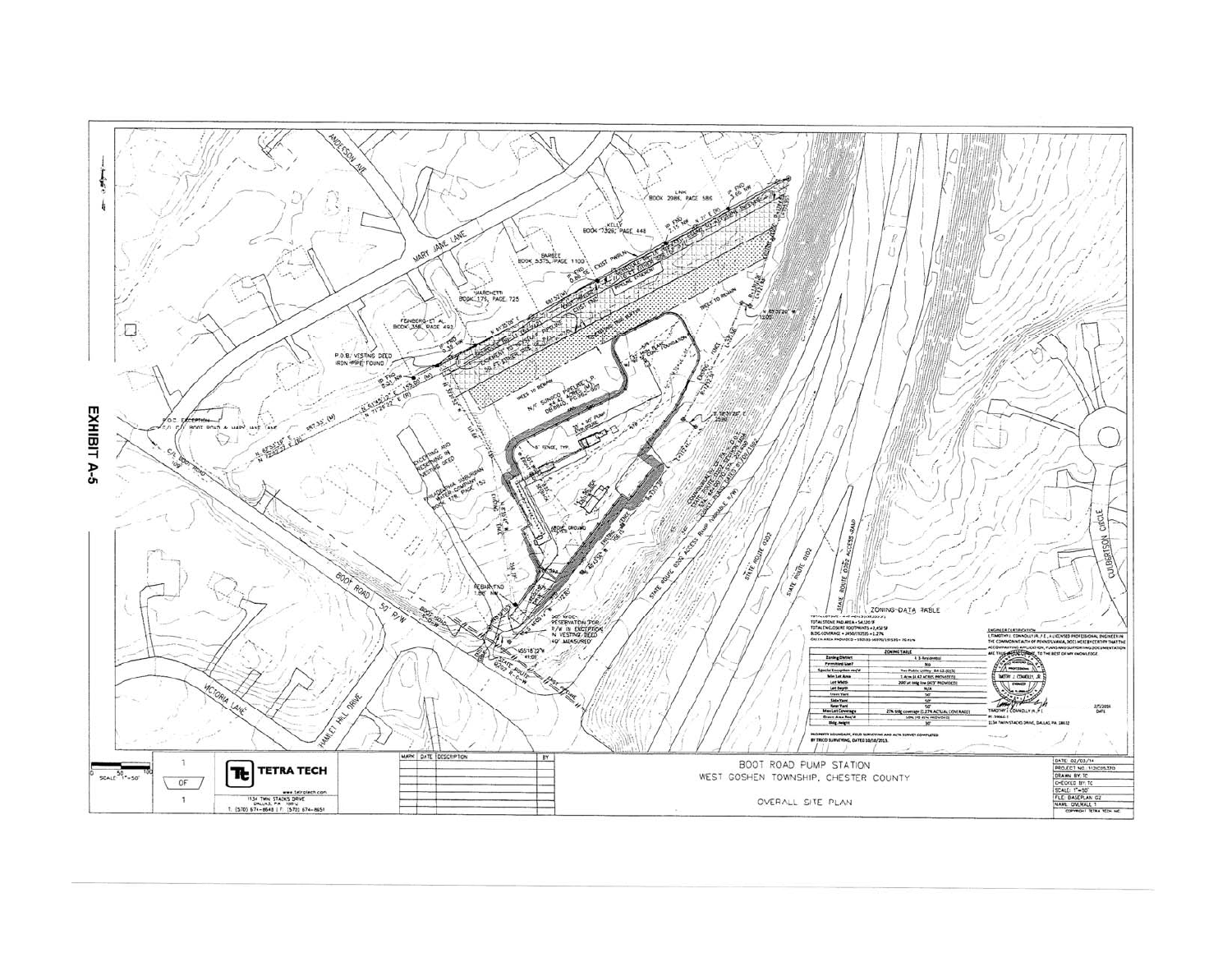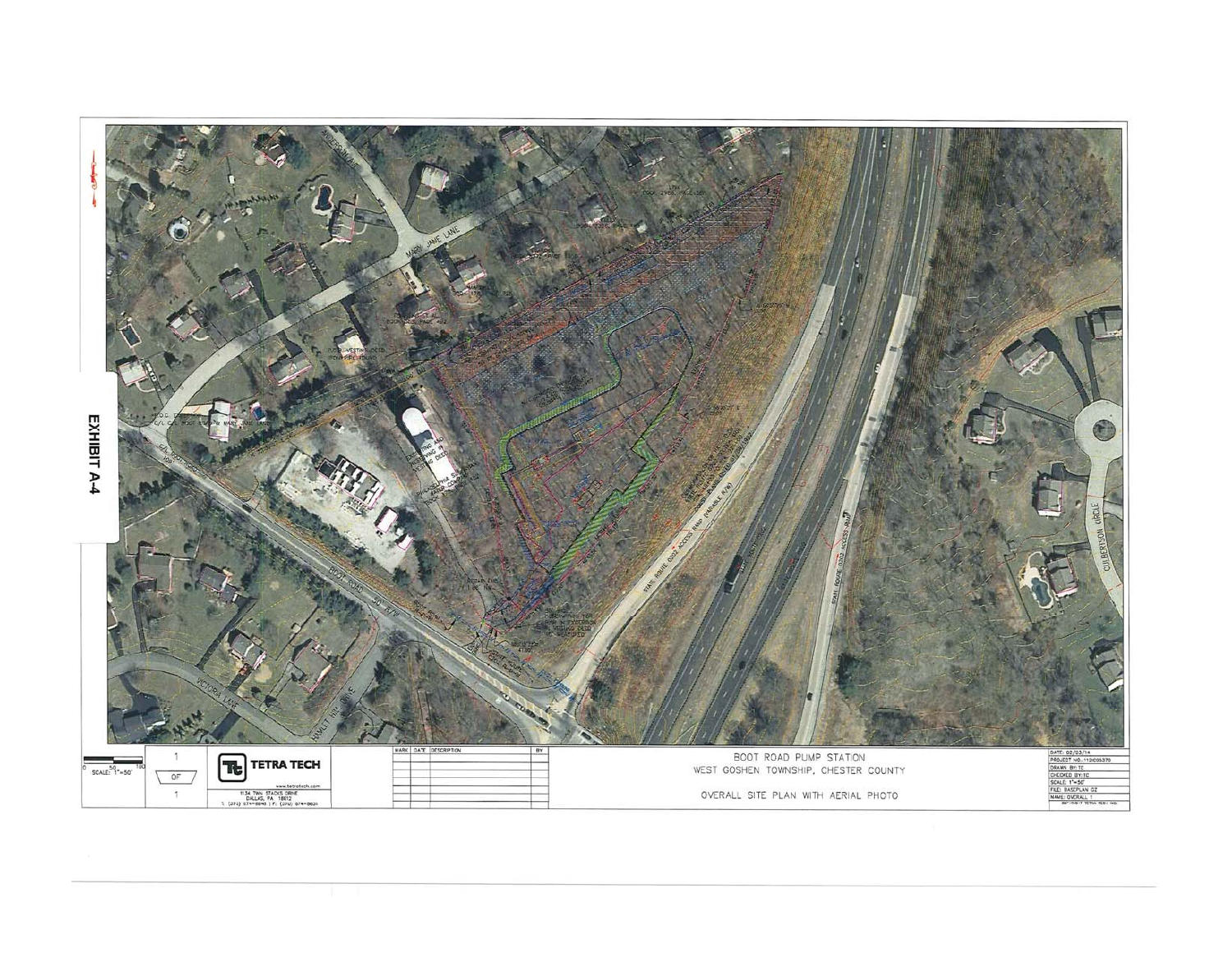